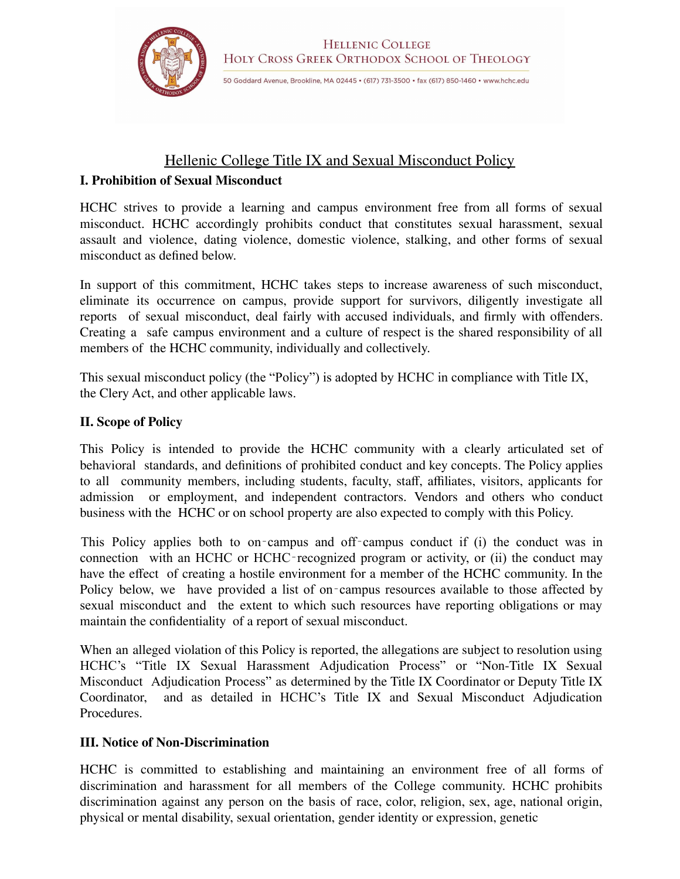

# Hellenic College Title IX and Sexual Misconduct Policy

## **I. Prohibition of Sexual Misconduct**

HCHC strives to provide a learning and campus environment free from all forms of sexual misconduct. HCHC accordingly prohibits conduct that constitutes sexual harassment, sexual assault and violence, dating violence, domestic violence, stalking, and other forms of sexual misconduct as defined below.

In support of this commitment, HCHC takes steps to increase awareness of such misconduct, eliminate its occurrence on campus, provide support for survivors, diligently investigate all reports of sexual misconduct, deal fairly with accused individuals, and firmly with offenders. Creating a safe campus environment and a culture of respect is the shared responsibility of all members of the HCHC community, individually and collectively.

This sexual misconduct policy (the "Policy") is adopted by HCHC in compliance with Title IX, the Clery Act, and other applicable laws.

## **II. Scope of Policy**

This Policy is intended to provide the HCHC community with a clearly articulated set of behavioral standards, and definitions of prohibited conduct and key concepts. The Policy applies to all community members, including students, faculty, staff, affiliates, visitors, applicants for admission or employment, and independent contractors. Vendors and others who conduct business with the HCHC or on school property are also expected to comply with this Policy.

This Policy applies both to on-campus and off-campus conduct if (i) the conduct was in connection with an HCHC or HCHC‐recognized program or activity, or (ii) the conduct may have the effect of creating a hostile environment for a member of the HCHC community. In the Policy below, we have provided a list of on‐campus resources available to those affected by sexual misconduct and the extent to which such resources have reporting obligations or may maintain the confidentiality of a report of sexual misconduct.

When an alleged violation of this Policy is reported, the allegations are subject to resolution using HCHC's "Title IX Sexual Harassment Adjudication Process" or "Non-Title IX Sexual Misconduct Adjudication Process" as determined by the Title IX Coordinator or Deputy Title IX Coordinator, and as detailed in HCHC's Title IX and Sexual Misconduct Adjudication and as detailed in HCHC's Title IX and Sexual Misconduct Adjudication **Procedures** 

## **III. Notice of Non-Discrimination**

HCHC is committed to establishing and maintaining an environment free of all forms of discrimination and harassment for all members of the College community. HCHC prohibits discrimination against any person on the basis of race, color, religion, sex, age, national origin, physical or mental disability, sexual orientation, gender identity or expression, genetic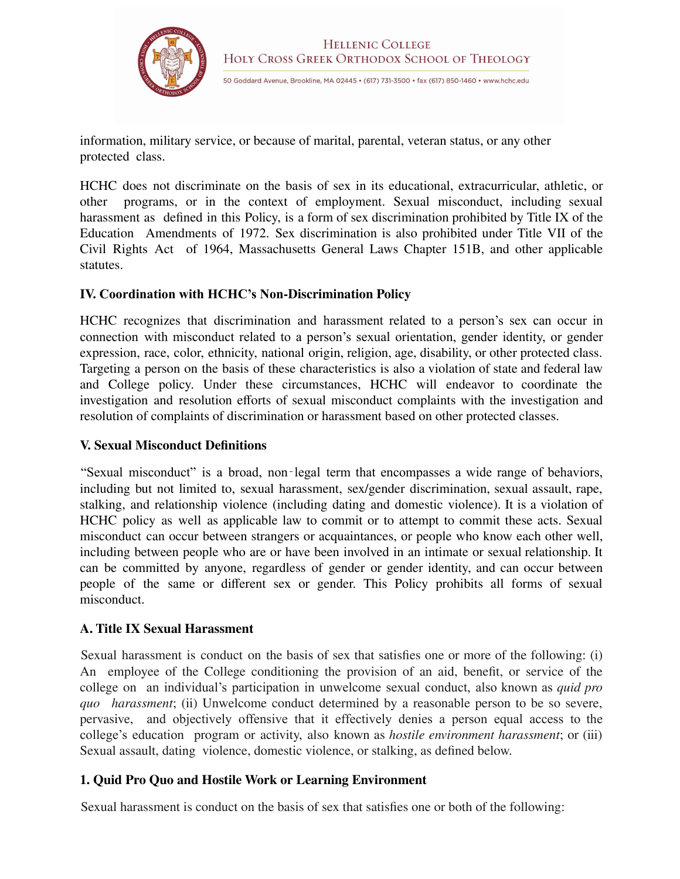

information, military service, or because of marital, parental, veteran status, or any other protected class.

HCHC does not discriminate on the basis of sex in its educational, extracurricular, athletic, or other programs, or in the context of employment. Sexual misconduct, including sexual harassment as defined in this Policy, is a form of sex discrimination prohibited by Title IX of the Education Amendments of 1972. Sex discrimination is also prohibited under Title VII of the Civil Rights Act of 1964, Massachusetts General Laws Chapter 151B, and other applicable statutes.

#### **IV. Coordination with HCHC's Non-Discrimination Policy**

HCHC recognizes that discrimination and harassment related to a person's sex can occur in connection with misconduct related to a person's sexual orientation, gender identity, or gender expression, race, color, ethnicity, national origin, religion, age, disability, or other protected class. Targeting a person on the basis of these characteristics is also a violation of state and federal law and College policy. Under these circumstances, HCHC will endeavor to coordinate the investigation and resolution efforts of sexual misconduct complaints with the investigation and resolution of complaints of discrimination or harassment based on other protected classes.

#### **V. Sexual Misconduct Definitions**

"Sexual misconduct" is a broad, non‐legal term that encompasses a wide range of behaviors, including but not limited to, sexual harassment, sex/gender discrimination, sexual assault, rape, stalking, and relationship violence (including dating and domestic violence). It is a violation of HCHC policy as well as applicable law to commit or to attempt to commit these acts. Sexual misconduct can occur between strangers or acquaintances, or people who know each other well, including between people who are or have been involved in an intimate or sexual relationship. It can be committed by anyone, regardless of gender or gender identity, and can occur between people of the same or different sex or gender. This Policy prohibits all forms of sexual misconduct.

#### **A. Title IX Sexual Harassment**

Sexual harassment is conduct on the basis of sex that satisfies one or more of the following: (i) An employee of the College conditioning the provision of an aid, benefit, or service of the college on an individual's participation in unwelcome sexual conduct, also known as *quid pro quo harassment*; (ii) Unwelcome conduct determined by a reasonable person to be so severe, pervasive, and objectively offensive that it effectively denies a person equal access to the college's education program or activity, also known as *hostile environment harassment*; or (iii) Sexual assault, dating violence, domestic violence, or stalking, as defined below.

## **1. Quid Pro Quo and Hostile Work or Learning Environment**

Sexual harassment is conduct on the basis of sex that satisfies one or both of the following: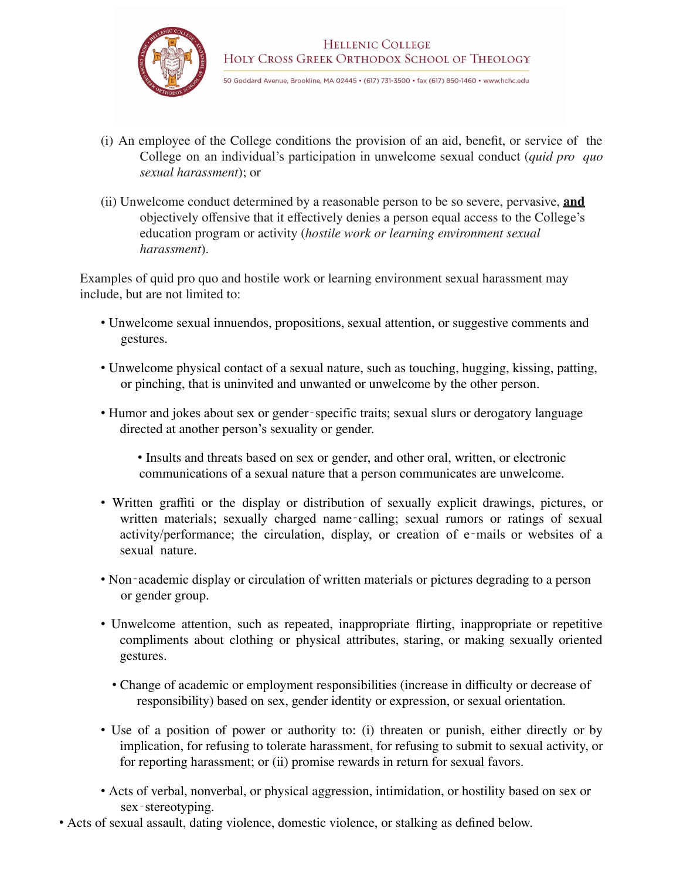

- (i) An employee of the College conditions the provision of an aid, benefit, or service of the College on an individual's participation in unwelcome sexual conduct (*quid pro quo sexual harassment*); or
- (ii) Unwelcome conduct determined by a reasonable person to be so severe, pervasive, **and** objectively offensive that it effectively denies a person equal access to the College's education program or activity (*hostile work or learning environment sexual harassment*).

Examples of quid pro quo and hostile work or learning environment sexual harassment may include, but are not limited to:

- Unwelcome sexual innuendos, propositions, sexual attention, or suggestive comments and gestures.
- Unwelcome physical contact of a sexual nature, such as touching, hugging, kissing, patting, or pinching, that is uninvited and unwanted or unwelcome by the other person.
- Humor and jokes about sex or gender-specific traits; sexual slurs or derogatory language directed at another person's sexuality or gender.
	- Insults and threats based on sex or gender, and other oral, written, or electronic communications of a sexual nature that a person communicates are unwelcome.
- Written graffiti or the display or distribution of sexually explicit drawings, pictures, or written materials; sexually charged name-calling; sexual rumors or ratings of sexual activity/performance; the circulation, display, or creation of e-mails or websites of a sexual nature.
- Non-academic display or circulation of written materials or pictures degrading to a person or gender group.
- Unwelcome attention, such as repeated, inappropriate flirting, inappropriate or repetitive compliments about clothing or physical attributes, staring, or making sexually oriented gestures.
	- Change of academic or employment responsibilities (increase in difficulty or decrease of responsibility) based on sex, gender identity or expression, or sexual orientation.
- Use of a position of power or authority to: (i) threaten or punish, either directly or by implication, for refusing to tolerate harassment, for refusing to submit to sexual activity, or for reporting harassment; or (ii) promise rewards in return for sexual favors.
- Acts of verbal, nonverbal, or physical aggression, intimidation, or hostility based on sex or sex-stereotyping.
- Acts of sexual assault, dating violence, domestic violence, or stalking as defined below.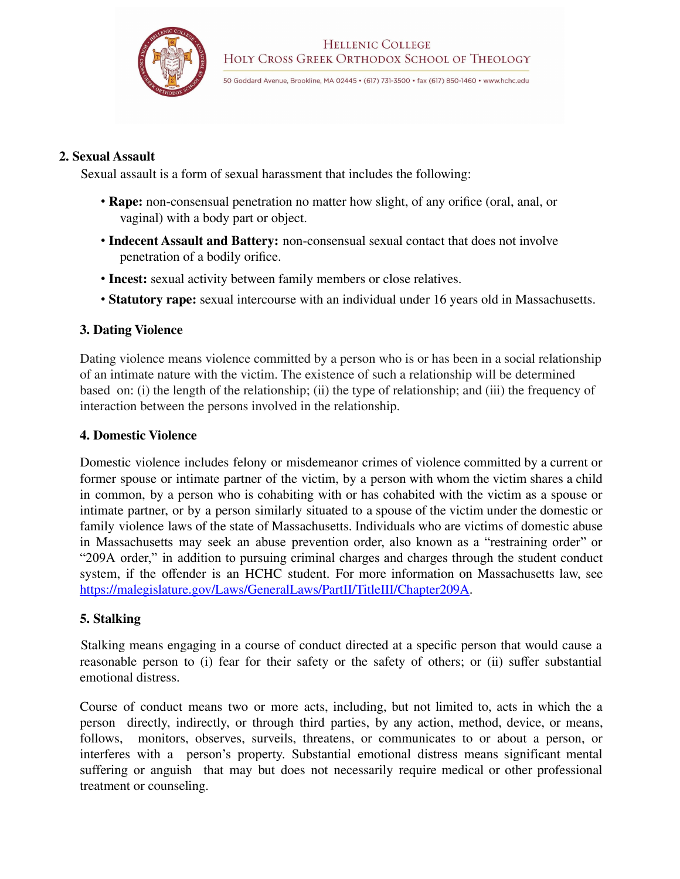

#### **2. Sexual Assault**

Sexual assault is a form of sexual harassment that includes the following:

- **Rape:** non-consensual penetration no matter how slight, of any orifice (oral, anal, or vaginal) with a body part or object.
- **Indecent Assault and Battery:** non-consensual sexual contact that does not involve penetration of a bodily orifice.
- **Incest:** sexual activity between family members or close relatives.
- **Statutory rape:** sexual intercourse with an individual under 16 years old in Massachusetts.

#### **3. Dating Violence**

Dating violence means violence committed by a person who is or has been in a social relationship of an intimate nature with the victim. The existence of such a relationship will be determined based on: (i) the length of the relationship; (ii) the type of relationship; and (iii) the frequency of interaction between the persons involved in the relationship.

#### **4. Domestic Violence**

Domestic violence includes felony or misdemeanor crimes of violence committed by a current or former spouse or intimate partner of the victim, by a person with whom the victim shares a child in common, by a person who is cohabiting with or has cohabited with the victim as a spouse or intimate partner, or by a person similarly situated to a spouse of the victim under the domestic or family violence laws of the state of Massachusetts. Individuals who are victims of domestic abuse in Massachusetts may seek an abuse prevention order, also known as a "restraining order" or "209A order," in addition to pursuing criminal charges and charges through the student conduct system, if the offender is an HCHC student. For more information on Massachusetts law, see https://malegislature.gov/Laws/GeneralLaws/PartII/TitleIII/Chapter209A.

#### **5. Stalking**

Stalking means engaging in a course of conduct directed at a specific person that would cause a reasonable person to (i) fear for their safety or the safety of others; or (ii) suffer substantial emotional distress.

Course of conduct means two or more acts, including, but not limited to, acts in which the a person directly, indirectly, or through third parties, by any action, method, device, or means, follows, monitors, observes, surveils, threatens, or communicates to or about a person, or interferes with a person's property. Substantial emotional distress means significant mental suffering or anguish that may but does not necessarily require medical or other professional treatment or counseling.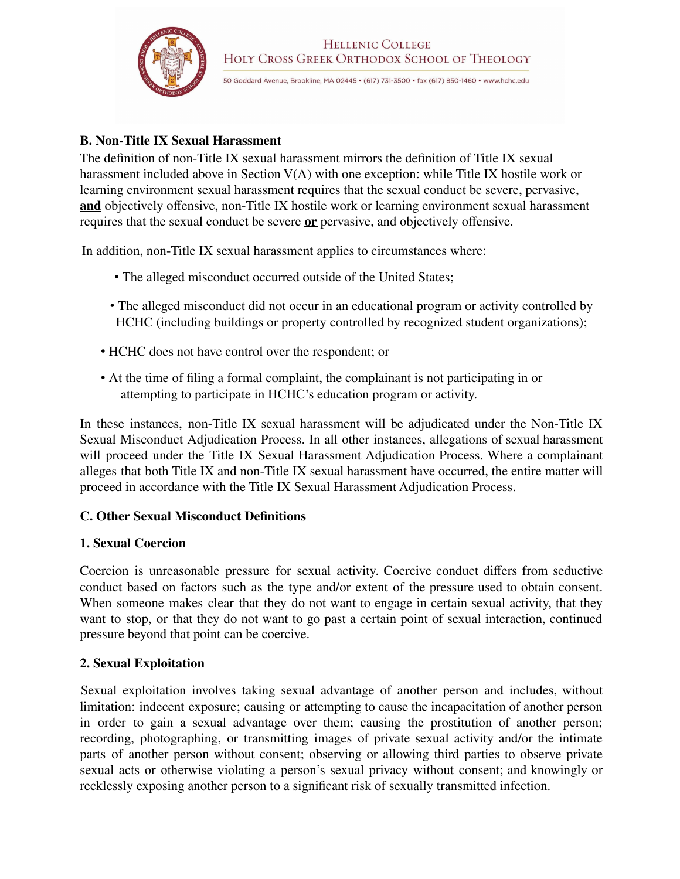

## **B. Non-Title IX Sexual Harassment**

The definition of non-Title IX sexual harassment mirrors the definition of Title IX sexual harassment included above in Section V(A) with one exception: while Title IX hostile work or learning environment sexual harassment requires that the sexual conduct be severe, pervasive, **and** objectively offensive, non-Title IX hostile work or learning environment sexual harassment requires that the sexual conduct be severe **or** pervasive, and objectively offensive.

In addition, non-Title IX sexual harassment applies to circumstances where:

- The alleged misconduct occurred outside of the United States;
- The alleged misconduct did not occur in an educational program or activity controlled by HCHC (including buildings or property controlled by recognized student organizations);
- HCHC does not have control over the respondent; or
- At the time of filing a formal complaint, the complainant is not participating in or attempting to participate in HCHC's education program or activity.

In these instances, non-Title IX sexual harassment will be adjudicated under the Non-Title IX Sexual Misconduct Adjudication Process. In all other instances, allegations of sexual harassment will proceed under the Title IX Sexual Harassment Adjudication Process. Where a complainant alleges that both Title IX and non-Title IX sexual harassment have occurred, the entire matter will proceed in accordance with the Title IX Sexual Harassment Adjudication Process.

## **C. Other Sexual Misconduct Definitions**

#### **1. Sexual Coercion**

Coercion is unreasonable pressure for sexual activity. Coercive conduct differs from seductive conduct based on factors such as the type and/or extent of the pressure used to obtain consent. When someone makes clear that they do not want to engage in certain sexual activity, that they want to stop, or that they do not want to go past a certain point of sexual interaction, continued pressure beyond that point can be coercive.

#### **2. Sexual Exploitation**

Sexual exploitation involves taking sexual advantage of another person and includes, without limitation: indecent exposure; causing or attempting to cause the incapacitation of another person in order to gain a sexual advantage over them; causing the prostitution of another person; recording, photographing, or transmitting images of private sexual activity and/or the intimate parts of another person without consent; observing or allowing third parties to observe private sexual acts or otherwise violating a person's sexual privacy without consent; and knowingly or recklessly exposing another person to a significant risk of sexually transmitted infection.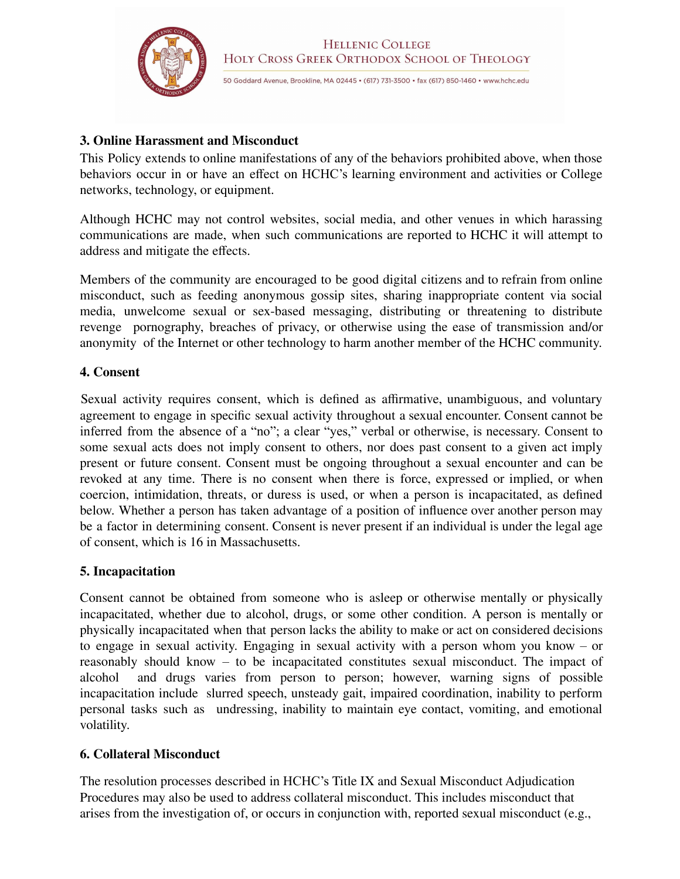

## **3. Online Harassment and Misconduct**

This Policy extends to online manifestations of any of the behaviors prohibited above, when those behaviors occur in or have an effect on HCHC's learning environment and activities or College networks, technology, or equipment.

Although HCHC may not control websites, social media, and other venues in which harassing communications are made, when such communications are reported to HCHC it will attempt to address and mitigate the effects.

Members of the community are encouraged to be good digital citizens and to refrain from online misconduct, such as feeding anonymous gossip sites, sharing inappropriate content via social media, unwelcome sexual or sex-based messaging, distributing or threatening to distribute revenge pornography, breaches of privacy, or otherwise using the ease of transmission and/or anonymity of the Internet or other technology to harm another member of the HCHC community.

## **4. Consent**

Sexual activity requires consent, which is defined as affirmative, unambiguous, and voluntary agreement to engage in specific sexual activity throughout a sexual encounter. Consent cannot be inferred from the absence of a "no"; a clear "yes," verbal or otherwise, is necessary. Consent to some sexual acts does not imply consent to others, nor does past consent to a given act imply present or future consent. Consent must be ongoing throughout a sexual encounter and can be revoked at any time. There is no consent when there is force, expressed or implied, or when coercion, intimidation, threats, or duress is used, or when a person is incapacitated, as defined below. Whether a person has taken advantage of a position of influence over another person may be a factor in determining consent. Consent is never present if an individual is under the legal age of consent, which is 16 in Massachusetts.

## **5. Incapacitation**

Consent cannot be obtained from someone who is asleep or otherwise mentally or physically incapacitated, whether due to alcohol, drugs, or some other condition. A person is mentally or physically incapacitated when that person lacks the ability to make or act on considered decisions to engage in sexual activity. Engaging in sexual activity with a person whom you know – or reasonably should know – to be incapacitated constitutes sexual misconduct. The impact of alcohol and drugs varies from person to person; however, warning signs of possible incapacitation include slurred speech, unsteady gait, impaired coordination, inability to perform personal tasks such as undressing, inability to maintain eye contact, vomiting, and emotional volatility.

## **6. Collateral Misconduct**

The resolution processes described in HCHC's Title IX and Sexual Misconduct Adjudication Procedures may also be used to address collateral misconduct. This includes misconduct that arises from the investigation of, or occurs in conjunction with, reported sexual misconduct (e.g.,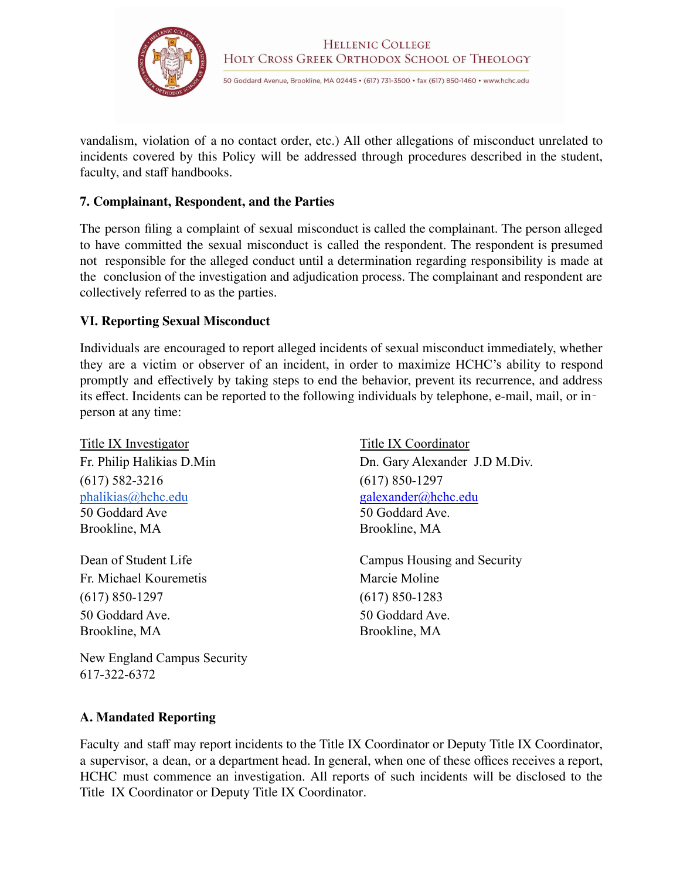

vandalism, violation of a no contact order, etc.) All other allegations of misconduct unrelated to incidents covered by this Policy will be addressed through procedures described in the student, faculty, and staff handbooks.

#### **7. Complainant, Respondent, and the Parties**

The person filing a complaint of sexual misconduct is called the complainant. The person alleged to have committed the sexual misconduct is called the respondent. The respondent is presumed not responsible for the alleged conduct until a determination regarding responsibility is made at the conclusion of the investigation and adjudication process. The complainant and respondent are collectively referred to as the parties.

#### **VI. Reporting Sexual Misconduct**

Individuals are encouraged to report alleged incidents of sexual misconduct immediately, whether they are a victim or observer of an incident, in order to maximize HCHC's ability to respond promptly and effectively by taking steps to end the behavior, prevent its recurrence, and address its effect. Incidents can be reported to the following individuals by telephone, e-mail, mail, or in‐ person at any time:

Title IX Investigator Title IX Coordinator (617) 582-3216 (617) 850-1297 [phalikias@hchc.edu](mailto:phalikias@hchc.edu) galexander@hchc.edu 50 Goddard Ave 50 Goddard Ave. Brookline, MA Brookline, MA

Fr. Michael Kouremetis Marcie Moline (617) 850-1297 (617) 850-1283 50 Goddard Ave. 50 Goddard Ave. Brookline, MA Brookline, MA

New England Campus Security 617-322-6372

Fr. Philip Halikias D.Min Dn. Gary Alexander J.D M.Div.

Dean of Student Life Campus Housing and Security

#### **A. Mandated Reporting**

Faculty and staff may report incidents to the Title IX Coordinator or Deputy Title IX Coordinator, a supervisor, a dean, or a department head. In general, when one of these offices receives a report, HCHC must commence an investigation. All reports of such incidents will be disclosed to the Title IX Coordinator or Deputy Title IX Coordinator.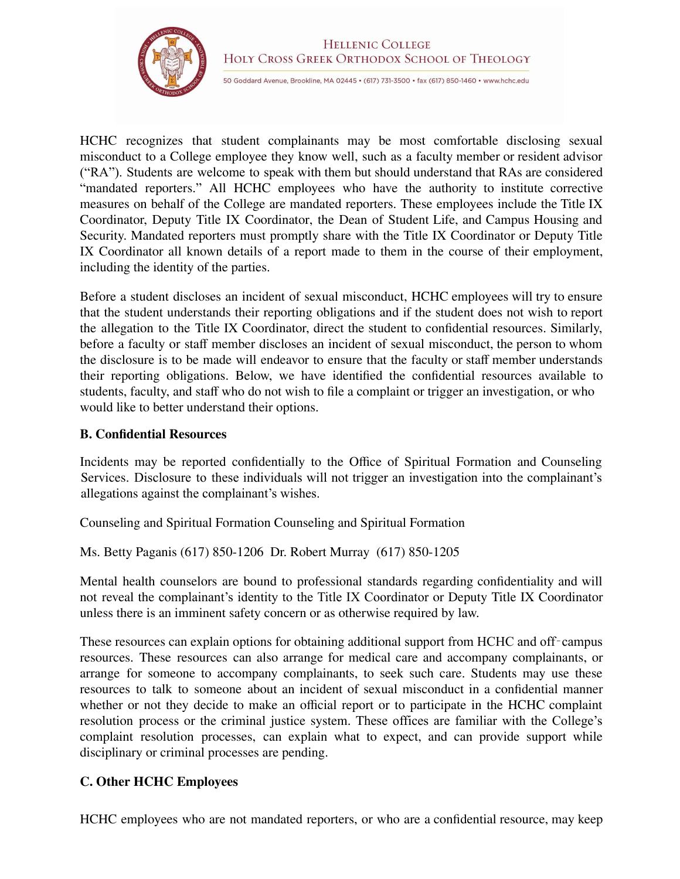

HCHC recognizes that student complainants may be most comfortable disclosing sexual misconduct to a College employee they know well, such as a faculty member or resident advisor ("RA"). Students are welcome to speak with them but should understand that RAs are considered "mandated reporters." All HCHC employees who have the authority to institute corrective measures on behalf of the College are mandated reporters. These employees include the Title IX Coordinator, Deputy Title IX Coordinator, the Dean of Student Life, and Campus Housing and Security. Mandated reporters must promptly share with the Title IX Coordinator or Deputy Title IX Coordinator all known details of a report made to them in the course of their employment, including the identity of the parties.

Before a student discloses an incident of sexual misconduct, HCHC employees will try to ensure that the student understands their reporting obligations and if the student does not wish to report the allegation to the Title IX Coordinator, direct the student to confidential resources. Similarly, before a faculty or staff member discloses an incident of sexual misconduct, the person to whom the disclosure is to be made will endeavor to ensure that the faculty or staff member understands their reporting obligations. Below, we have identified the confidential resources available to students, faculty, and staff who do not wish to file a complaint or trigger an investigation, or who would like to better understand their options.

#### **B. Confidential Resources**

Incidents may be reported confidentially to the Office of Spiritual Formation and Counseling Services. Disclosure to these individuals will not trigger an investigation into the complainant's allegations against the complainant's wishes.

Counseling and Spiritual Formation Counseling and Spiritual Formation

Ms. Betty Paganis (617) 850-1206 Dr. Robert Murray (617) 850-1205

Mental health counselors are bound to professional standards regarding confidentiality and will not reveal the complainant's identity to the Title IX Coordinator or Deputy Title IX Coordinator unless there is an imminent safety concern or as otherwise required by law.

These resources can explain options for obtaining additional support from HCHC and off-campus resources. These resources can also arrange for medical care and accompany complainants, or arrange for someone to accompany complainants, to seek such care. Students may use these resources to talk to someone about an incident of sexual misconduct in a confidential manner whether or not they decide to make an official report or to participate in the HCHC complaint resolution process or the criminal justice system. These offices are familiar with the College's complaint resolution processes, can explain what to expect, and can provide support while disciplinary or criminal processes are pending.

## **C. Other HCHC Employees**

HCHC employees who are not mandated reporters, or who are a confidential resource, may keep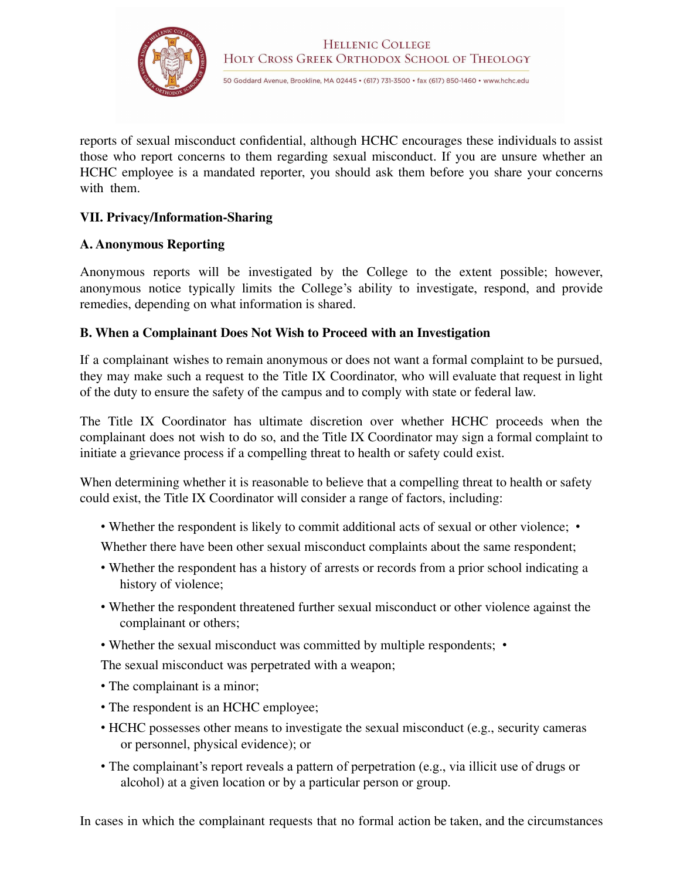

reports of sexual misconduct confidential, although HCHC encourages these individuals to assist those who report concerns to them regarding sexual misconduct. If you are unsure whether an HCHC employee is a mandated reporter, you should ask them before you share your concerns with them.

## **VII. Privacy/Information-Sharing**

#### **A. Anonymous Reporting**

Anonymous reports will be investigated by the College to the extent possible; however, anonymous notice typically limits the College's ability to investigate, respond, and provide remedies, depending on what information is shared.

## **B. When a Complainant Does Not Wish to Proceed with an Investigation**

If a complainant wishes to remain anonymous or does not want a formal complaint to be pursued, they may make such a request to the Title IX Coordinator, who will evaluate that request in light of the duty to ensure the safety of the campus and to comply with state or federal law.

The Title IX Coordinator has ultimate discretion over whether HCHC proceeds when the complainant does not wish to do so, and the Title IX Coordinator may sign a formal complaint to initiate a grievance process if a compelling threat to health or safety could exist.

When determining whether it is reasonable to believe that a compelling threat to health or safety could exist, the Title IX Coordinator will consider a range of factors, including:

- Whether the respondent is likely to commit additional acts of sexual or other violence; •
- Whether there have been other sexual misconduct complaints about the same respondent;
- Whether the respondent has a history of arrests or records from a prior school indicating a history of violence;
- Whether the respondent threatened further sexual misconduct or other violence against the complainant or others;
- Whether the sexual misconduct was committed by multiple respondents; •

The sexual misconduct was perpetrated with a weapon;

- The complainant is a minor;
- The respondent is an HCHC employee;
- HCHC possesses other means to investigate the sexual misconduct (e.g., security cameras or personnel, physical evidence); or
- The complainant's report reveals a pattern of perpetration (e.g., via illicit use of drugs or alcohol) at a given location or by a particular person or group.

In cases in which the complainant requests that no formal action be taken, and the circumstances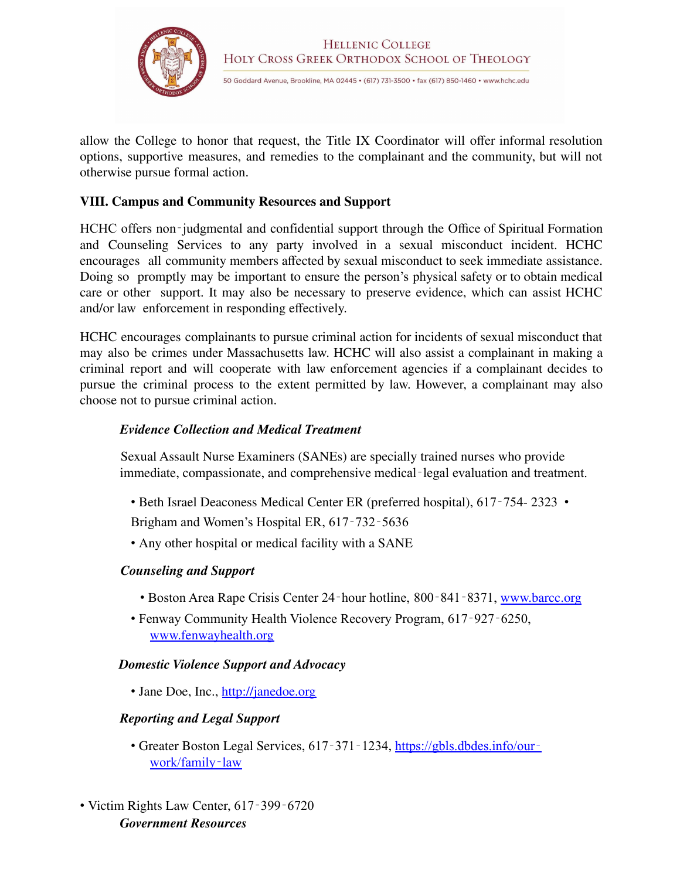

allow the College to honor that request, the Title IX Coordinator will offer informal resolution options, supportive measures, and remedies to the complainant and the community, but will not otherwise pursue formal action.

#### **VIII. Campus and Community Resources and Support**

HCHC offers non-judgmental and confidential support through the Office of Spiritual Formation and Counseling Services to any party involved in a sexual misconduct incident. HCHC encourages all community members affected by sexual misconduct to seek immediate assistance. Doing so promptly may be important to ensure the person's physical safety or to obtain medical care or other support. It may also be necessary to preserve evidence, which can assist HCHC and/or law enforcement in responding effectively.

HCHC encourages complainants to pursue criminal action for incidents of sexual misconduct that may also be crimes under Massachusetts law. HCHC will also assist a complainant in making a criminal report and will cooperate with law enforcement agencies if a complainant decides to pursue the criminal process to the extent permitted by law. However, a complainant may also choose not to pursue criminal action.

#### *Evidence Collection and Medical Treatment*

Sexual Assault Nurse Examiners (SANEs) are specially trained nurses who provide immediate, compassionate, and comprehensive medical-legal evaluation and treatment.

• Beth Israel Deaconess Medical Center ER (preferred hospital), 617-754-2323 •

Brigham and Women's Hospital ER, 617‐732‐5636

• Any other hospital or medical facility with a SANE

#### *Counseling and Support*

- Boston Area Rape Crisis Center 24-hour hotline, 800-841-8371, www.barcc.org
- Fenway Community Health Violence Recovery Program, 617‐927‐6250, www.fenwayhealth.org

#### *Domestic Violence Support and Advocacy*

• Jane Doe, Inc., http://janedoe.org

#### *Reporting and Legal Support*

- Greater Boston Legal Services, 617-371-1234, https://gbls.dbdes.info/ourwork/family‐law
- Victim Rights Law Center, 617‐399‐6720 *Government Resources*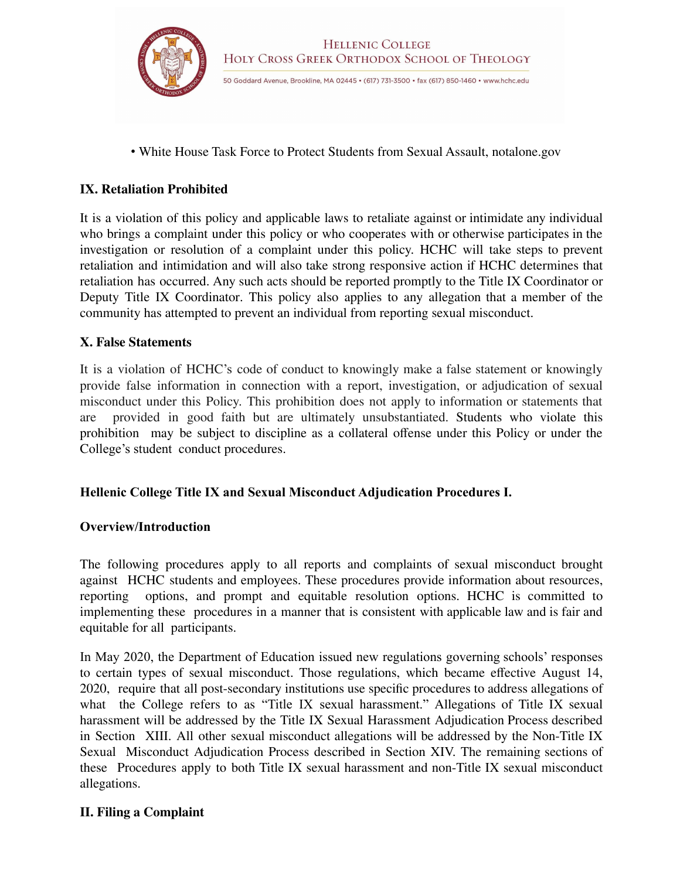

• White House Task Force to Protect Students from Sexual Assault, notalone.gov

#### **IX. Retaliation Prohibited**

It is a violation of this policy and applicable laws to retaliate against or intimidate any individual who brings a complaint under this policy or who cooperates with or otherwise participates in the investigation or resolution of a complaint under this policy. HCHC will take steps to prevent retaliation and intimidation and will also take strong responsive action if HCHC determines that retaliation has occurred. Any such acts should be reported promptly to the Title IX Coordinator or Deputy Title IX Coordinator. This policy also applies to any allegation that a member of the community has attempted to prevent an individual from reporting sexual misconduct.

#### **X. False Statements**

It is a violation of HCHC's code of conduct to knowingly make a false statement or knowingly provide false information in connection with a report, investigation, or adjudication of sexual misconduct under this Policy. This prohibition does not apply to information or statements that are provided in good faith but are ultimately unsubstantiated. Students who violate this prohibition may be subject to discipline as a collateral offense under this Policy or under the College's student conduct procedures.

#### **Hellenic College Title IX and Sexual Misconduct Adjudication Procedures I.**

#### **Overview/Introduction**

The following procedures apply to all reports and complaints of sexual misconduct brought against HCHC students and employees. These procedures provide information about resources, reporting options, and prompt and equitable resolution options. HCHC is committed to implementing these procedures in a manner that is consistent with applicable law and is fair and equitable for all participants.

In May 2020, the Department of Education issued new regulations governing schools' responses to certain types of sexual misconduct. Those regulations, which became effective August 14, 2020, require that all post-secondary institutions use specific procedures to address allegations of what the College refers to as "Title IX sexual harassment." Allegations of Title IX sexual harassment will be addressed by the Title IX Sexual Harassment Adjudication Process described in Section XIII. All other sexual misconduct allegations will be addressed by the Non-Title IX Sexual Misconduct Adjudication Process described in Section XIV. The remaining sections of these Procedures apply to both Title IX sexual harassment and non-Title IX sexual misconduct allegations.

#### **II. Filing a Complaint**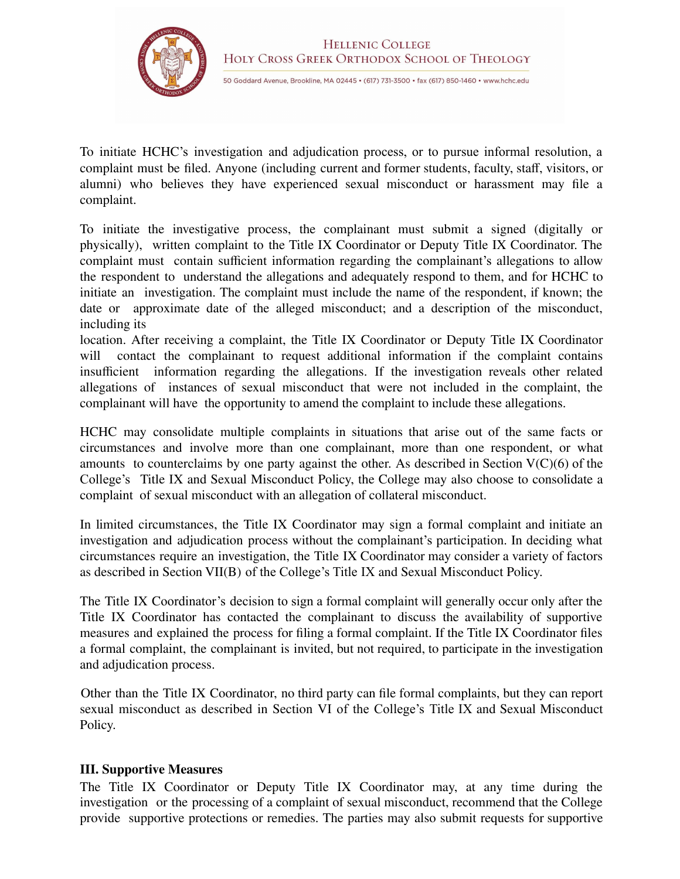

To initiate HCHC's investigation and adjudication process, or to pursue informal resolution, a complaint must be filed. Anyone (including current and former students, faculty, staff, visitors, or alumni) who believes they have experienced sexual misconduct or harassment may file a complaint.

To initiate the investigative process, the complainant must submit a signed (digitally or physically), written complaint to the Title IX Coordinator or Deputy Title IX Coordinator. The complaint must contain sufficient information regarding the complainant's allegations to allow the respondent to understand the allegations and adequately respond to them, and for HCHC to initiate an investigation. The complaint must include the name of the respondent, if known; the date or approximate date of the alleged misconduct; and a description of the misconduct, including its

location. After receiving a complaint, the Title IX Coordinator or Deputy Title IX Coordinator will contact the complainant to request additional information if the complaint contains insufficient information regarding the allegations. If the investigation reveals other related allegations of instances of sexual misconduct that were not included in the complaint, the complainant will have the opportunity to amend the complaint to include these allegations.

HCHC may consolidate multiple complaints in situations that arise out of the same facts or circumstances and involve more than one complainant, more than one respondent, or what amounts to counterclaims by one party against the other. As described in Section  $V(C)(6)$  of the College's Title IX and Sexual Misconduct Policy, the College may also choose to consolidate a complaint of sexual misconduct with an allegation of collateral misconduct.

In limited circumstances, the Title IX Coordinator may sign a formal complaint and initiate an investigation and adjudication process without the complainant's participation. In deciding what circumstances require an investigation, the Title IX Coordinator may consider a variety of factors as described in Section VII(B) of the College's Title IX and Sexual Misconduct Policy.

The Title IX Coordinator's decision to sign a formal complaint will generally occur only after the Title IX Coordinator has contacted the complainant to discuss the availability of supportive measures and explained the process for filing a formal complaint. If the Title IX Coordinator files a formal complaint, the complainant is invited, but not required, to participate in the investigation and adjudication process.

Other than the Title IX Coordinator, no third party can file formal complaints, but they can report sexual misconduct as described in Section VI of the College's Title IX and Sexual Misconduct Policy.

## **III. Supportive Measures**

The Title IX Coordinator or Deputy Title IX Coordinator may, at any time during the investigation or the processing of a complaint of sexual misconduct, recommend that the College provide supportive protections or remedies. The parties may also submit requests for supportive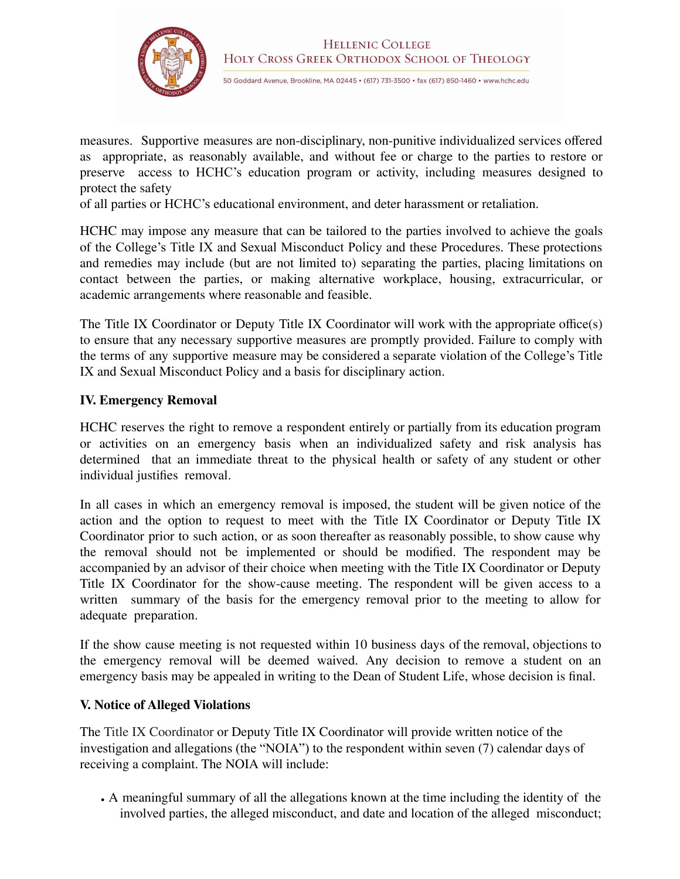

measures. Supportive measures are non-disciplinary, non-punitive individualized services offered as appropriate, as reasonably available, and without fee or charge to the parties to restore or preserve access to HCHC's education program or activity, including measures designed to protect the safety

of all parties or HCHC's educational environment, and deter harassment or retaliation.

HCHC may impose any measure that can be tailored to the parties involved to achieve the goals of the College's Title IX and Sexual Misconduct Policy and these Procedures. These protections and remedies may include (but are not limited to) separating the parties, placing limitations on contact between the parties, or making alternative workplace, housing, extracurricular, or academic arrangements where reasonable and feasible.

The Title IX Coordinator or Deputy Title IX Coordinator will work with the appropriate office(s) to ensure that any necessary supportive measures are promptly provided. Failure to comply with the terms of any supportive measure may be considered a separate violation of the College's Title IX and Sexual Misconduct Policy and a basis for disciplinary action.

## **IV. Emergency Removal**

HCHC reserves the right to remove a respondent entirely or partially from its education program or activities on an emergency basis when an individualized safety and risk analysis has determined that an immediate threat to the physical health or safety of any student or other individual justifies removal.

In all cases in which an emergency removal is imposed, the student will be given notice of the action and the option to request to meet with the Title IX Coordinator or Deputy Title IX Coordinator prior to such action, or as soon thereafter as reasonably possible, to show cause why the removal should not be implemented or should be modified. The respondent may be accompanied by an advisor of their choice when meeting with the Title IX Coordinator or Deputy Title IX Coordinator for the show-cause meeting. The respondent will be given access to a written summary of the basis for the emergency removal prior to the meeting to allow for adequate preparation.

If the show cause meeting is not requested within 10 business days of the removal, objections to the emergency removal will be deemed waived. Any decision to remove a student on an emergency basis may be appealed in writing to the Dean of Student Life, whose decision is final.

## **V. Notice of Alleged Violations**

The Title IX Coordinator or Deputy Title IX Coordinator will provide written notice of the investigation and allegations (the "NOIA") to the respondent within seven (7) calendar days of receiving a complaint. The NOIA will include:

• A meaningful summary of all the allegations known at the time including the identity of the involved parties, the alleged misconduct, and date and location of the alleged misconduct;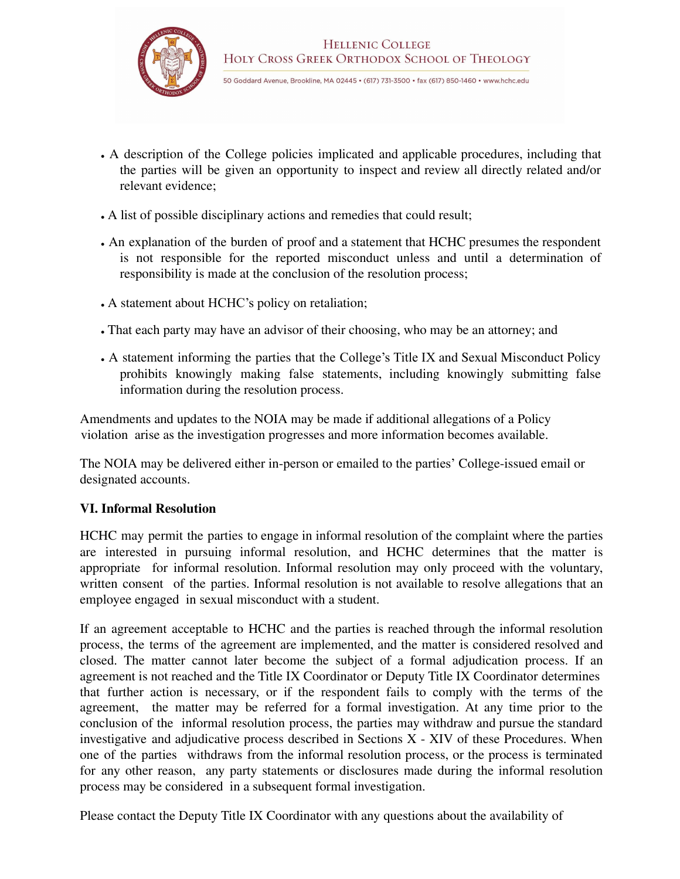

- A description of the College policies implicated and applicable procedures, including that the parties will be given an opportunity to inspect and review all directly related and/or relevant evidence;
- A list of possible disciplinary actions and remedies that could result;
- An explanation of the burden of proof and a statement that HCHC presumes the respondent is not responsible for the reported misconduct unless and until a determination of responsibility is made at the conclusion of the resolution process;
- A statement about HCHC's policy on retaliation;
- That each party may have an advisor of their choosing, who may be an attorney; and
- A statement informing the parties that the College's Title IX and Sexual Misconduct Policy prohibits knowingly making false statements, including knowingly submitting false information during the resolution process.

Amendments and updates to the NOIA may be made if additional allegations of a Policy violation arise as the investigation progresses and more information becomes available.

The NOIA may be delivered either in-person or emailed to the parties' College-issued email or designated accounts.

## **VI. Informal Resolution**

HCHC may permit the parties to engage in informal resolution of the complaint where the parties are interested in pursuing informal resolution, and HCHC determines that the matter is appropriate for informal resolution. Informal resolution may only proceed with the voluntary, written consent of the parties. Informal resolution is not available to resolve allegations that an employee engaged in sexual misconduct with a student.

If an agreement acceptable to HCHC and the parties is reached through the informal resolution process, the terms of the agreement are implemented, and the matter is considered resolved and closed. The matter cannot later become the subject of a formal adjudication process. If an agreement is not reached and the Title IX Coordinator or Deputy Title IX Coordinator determines that further action is necessary, or if the respondent fails to comply with the terms of the agreement, the matter may be referred for a formal investigation. At any time prior to the conclusion of the informal resolution process, the parties may withdraw and pursue the standard investigative and adjudicative process described in Sections X - XIV of these Procedures. When one of the parties withdraws from the informal resolution process, or the process is terminated for any other reason, any party statements or disclosures made during the informal resolution process may be considered in a subsequent formal investigation.

Please contact the Deputy Title IX Coordinator with any questions about the availability of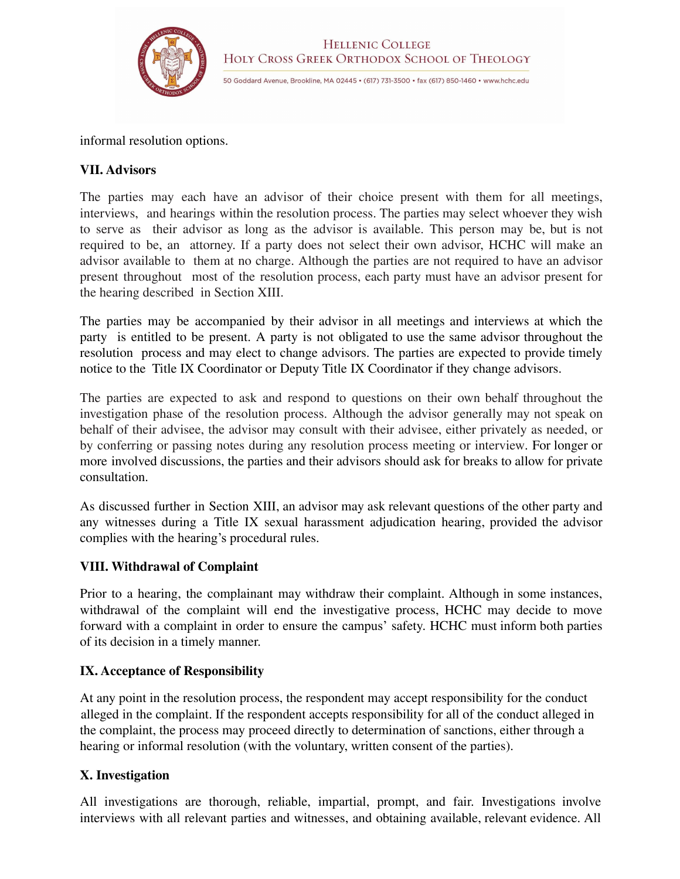

informal resolution options.

#### **VII. Advisors**

The parties may each have an advisor of their choice present with them for all meetings, interviews, and hearings within the resolution process. The parties may select whoever they wish to serve as their advisor as long as the advisor is available. This person may be, but is not required to be, an attorney. If a party does not select their own advisor, HCHC will make an advisor available to them at no charge. Although the parties are not required to have an advisor present throughout most of the resolution process, each party must have an advisor present for the hearing described in Section XIII.

The parties may be accompanied by their advisor in all meetings and interviews at which the party is entitled to be present. A party is not obligated to use the same advisor throughout the resolution process and may elect to change advisors. The parties are expected to provide timely notice to the Title IX Coordinator or Deputy Title IX Coordinator if they change advisors.

The parties are expected to ask and respond to questions on their own behalf throughout the investigation phase of the resolution process. Although the advisor generally may not speak on behalf of their advisee, the advisor may consult with their advisee, either privately as needed, or by conferring or passing notes during any resolution process meeting or interview. For longer or more involved discussions, the parties and their advisors should ask for breaks to allow for private consultation.

As discussed further in Section XIII, an advisor may ask relevant questions of the other party and any witnesses during a Title IX sexual harassment adjudication hearing, provided the advisor complies with the hearing's procedural rules.

#### **VIII. Withdrawal of Complaint**

Prior to a hearing, the complainant may withdraw their complaint. Although in some instances, withdrawal of the complaint will end the investigative process, HCHC may decide to move forward with a complaint in order to ensure the campus' safety. HCHC must inform both parties of its decision in a timely manner.

#### **IX. Acceptance of Responsibility**

At any point in the resolution process, the respondent may accept responsibility for the conduct alleged in the complaint. If the respondent accepts responsibility for all of the conduct alleged in the complaint, the process may proceed directly to determination of sanctions, either through a hearing or informal resolution (with the voluntary, written consent of the parties).

#### **X. Investigation**

All investigations are thorough, reliable, impartial, prompt, and fair. Investigations involve interviews with all relevant parties and witnesses, and obtaining available, relevant evidence. All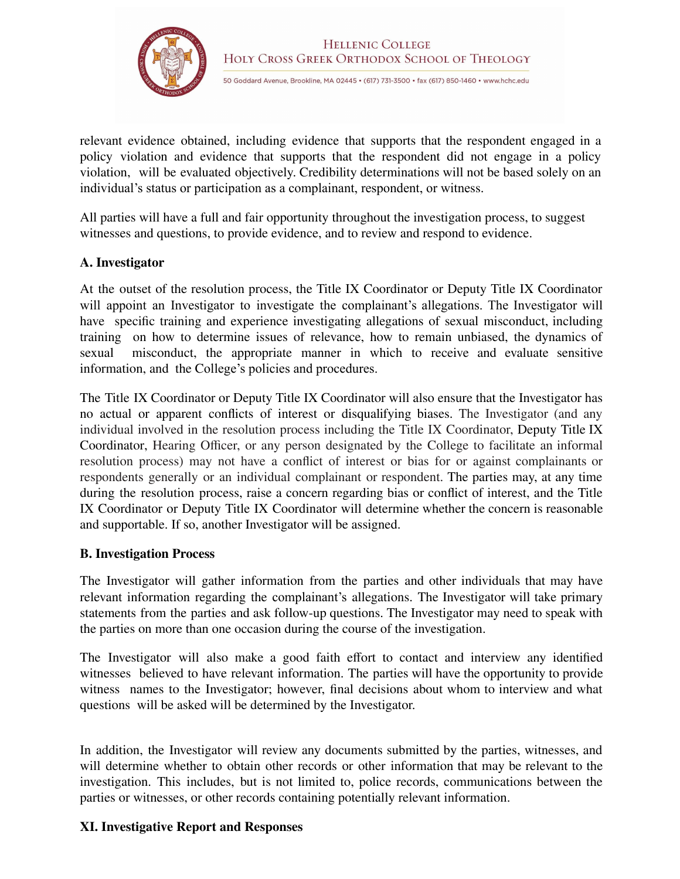

relevant evidence obtained, including evidence that supports that the respondent engaged in a policy violation and evidence that supports that the respondent did not engage in a policy violation, will be evaluated objectively. Credibility determinations will not be based solely on an individual's status or participation as a complainant, respondent, or witness.

All parties will have a full and fair opportunity throughout the investigation process, to suggest witnesses and questions, to provide evidence, and to review and respond to evidence.

## **A. Investigator**

At the outset of the resolution process, the Title IX Coordinator or Deputy Title IX Coordinator will appoint an Investigator to investigate the complainant's allegations. The Investigator will have specific training and experience investigating allegations of sexual misconduct, including training on how to determine issues of relevance, how to remain unbiased, the dynamics of sexual misconduct, the appropriate manner in which to receive and evaluate sensitive information, and the College's policies and procedures.

The Title IX Coordinator or Deputy Title IX Coordinator will also ensure that the Investigator has no actual or apparent conflicts of interest or disqualifying biases. The Investigator (and any individual involved in the resolution process including the Title IX Coordinator, Deputy Title IX Coordinator, Hearing Officer, or any person designated by the College to facilitate an informal resolution process) may not have a conflict of interest or bias for or against complainants or respondents generally or an individual complainant or respondent. The parties may, at any time during the resolution process, raise a concern regarding bias or conflict of interest, and the Title IX Coordinator or Deputy Title IX Coordinator will determine whether the concern is reasonable and supportable. If so, another Investigator will be assigned.

## **B. Investigation Process**

The Investigator will gather information from the parties and other individuals that may have relevant information regarding the complainant's allegations. The Investigator will take primary statements from the parties and ask follow-up questions. The Investigator may need to speak with the parties on more than one occasion during the course of the investigation.

The Investigator will also make a good faith effort to contact and interview any identified witnesses believed to have relevant information. The parties will have the opportunity to provide witness names to the Investigator; however, final decisions about whom to interview and what questions will be asked will be determined by the Investigator.

In addition, the Investigator will review any documents submitted by the parties, witnesses, and will determine whether to obtain other records or other information that may be relevant to the investigation. This includes, but is not limited to, police records, communications between the parties or witnesses, or other records containing potentially relevant information.

## **XI. Investigative Report and Responses**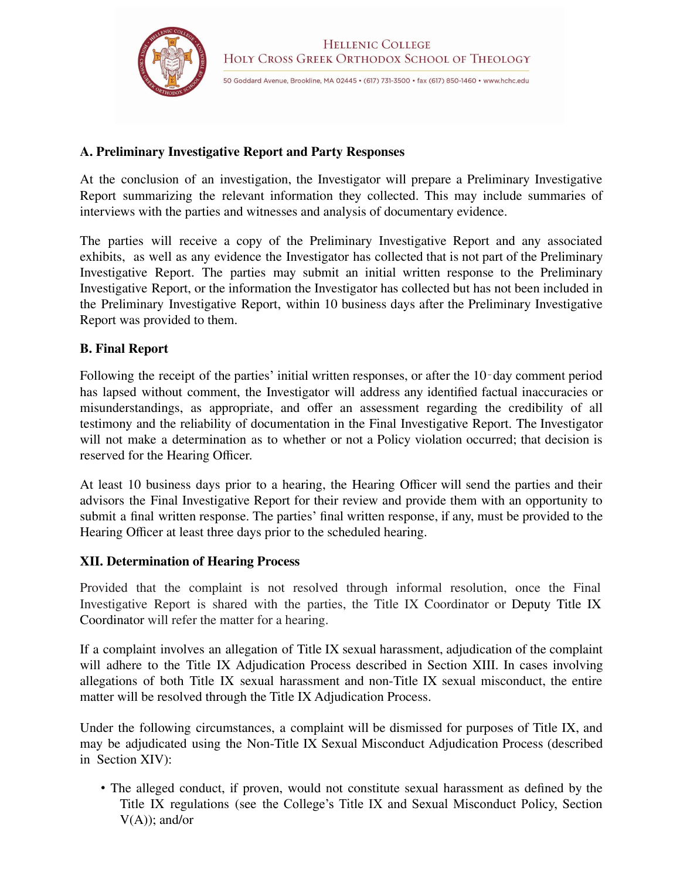

## **A. Preliminary Investigative Report and Party Responses**

At the conclusion of an investigation, the Investigator will prepare a Preliminary Investigative Report summarizing the relevant information they collected. This may include summaries of interviews with the parties and witnesses and analysis of documentary evidence.

The parties will receive a copy of the Preliminary Investigative Report and any associated exhibits, as well as any evidence the Investigator has collected that is not part of the Preliminary Investigative Report. The parties may submit an initial written response to the Preliminary Investigative Report, or the information the Investigator has collected but has not been included in the Preliminary Investigative Report, within 10 business days after the Preliminary Investigative Report was provided to them.

## **B. Final Report**

Following the receipt of the parties' initial written responses, or after the 10‐day comment period has lapsed without comment, the Investigator will address any identified factual inaccuracies or misunderstandings, as appropriate, and offer an assessment regarding the credibility of all testimony and the reliability of documentation in the Final Investigative Report. The Investigator will not make a determination as to whether or not a Policy violation occurred; that decision is reserved for the Hearing Officer.

At least 10 business days prior to a hearing, the Hearing Officer will send the parties and their advisors the Final Investigative Report for their review and provide them with an opportunity to submit a final written response. The parties' final written response, if any, must be provided to the Hearing Officer at least three days prior to the scheduled hearing.

## **XII. Determination of Hearing Process**

Provided that the complaint is not resolved through informal resolution, once the Final Investigative Report is shared with the parties, the Title IX Coordinator or Deputy Title IX Coordinator will refer the matter for a hearing.

If a complaint involves an allegation of Title IX sexual harassment, adjudication of the complaint will adhere to the Title IX Adjudication Process described in Section XIII. In cases involving allegations of both Title IX sexual harassment and non-Title IX sexual misconduct, the entire matter will be resolved through the Title IX Adjudication Process.

Under the following circumstances, a complaint will be dismissed for purposes of Title IX, and may be adjudicated using the Non-Title IX Sexual Misconduct Adjudication Process (described in Section XIV):

• The alleged conduct, if proven, would not constitute sexual harassment as defined by the Title IX regulations (see the College's Title IX and Sexual Misconduct Policy, Section  $V(A)$ : and/or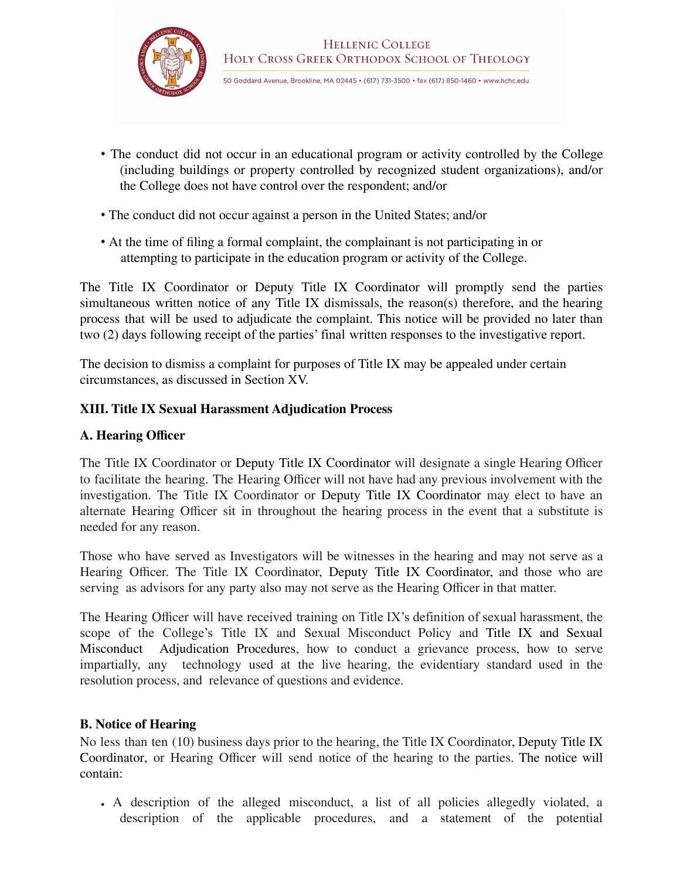

- The conduct did not occur in an educational program or activity controlled by the College (including buildings or property controlled by recognized student organizations), and/or the College does not have control over the respondent; and/or
- The conduct did not occur against a person in the United States; and/or
- At the time of filing a formal complaint, the complainant is not participating in or attempting to participate in the education program or activity of the College.

The Title IX Coordinator or Deputy Title IX Coordinator will promptly send the parties simultaneous written notice of any Title IX dismissals, the reason(s) therefore, and the hearing process that will be used to adjudicate the complaint. This notice will be provided no later than two (2) days following receipt of the parties' final written responses to the investigative report.

The decision to dismiss a complaint for purposes of Title IX may be appealed under certain circumstances, as discussed in Section XV.

## **XIII. Title IX Sexual Harassment Adjudication Process**

## **A. Hearing Officer**

The Title IX Coordinator or Deputy Title IX Coordinator will designate a single Hearing Officer to facilitate the hearing. The Hearing Officer will not have had any previous involvement with the investigation. The Title IX Coordinator or Deputy Title IX Coordinator may elect to have an alternate Hearing Officer sit in throughout the hearing process in the event that a substitute is needed for any reason.

Those who have served as Investigators will be witnesses in the hearing and may not serve as a Hearing Officer. The Title IX Coordinator, Deputy Title IX Coordinator, and those who are serving as advisors for any party also may not serve as the Hearing Officer in that matter.

The Hearing Officer will have received training on Title IX's definition of sexual harassment, the scope of the College's Title IX and Sexual Misconduct Policy and Title IX and Sexual Misconduct Adjudication Procedures, how to conduct a grievance process, how to serve impartially, any technology used at the live hearing, the evidentiary standard used in the resolution process, and relevance of questions and evidence.

## **B. Notice of Hearing**

No less than ten (10) business days prior to the hearing, the Title IX Coordinator, Deputy Title IX Coordinator, or Hearing Officer will send notice of the hearing to the parties. The notice will contain:

• A description of the alleged misconduct, a list of all policies allegedly violated, a description of the applicable procedures, and a statement of the potential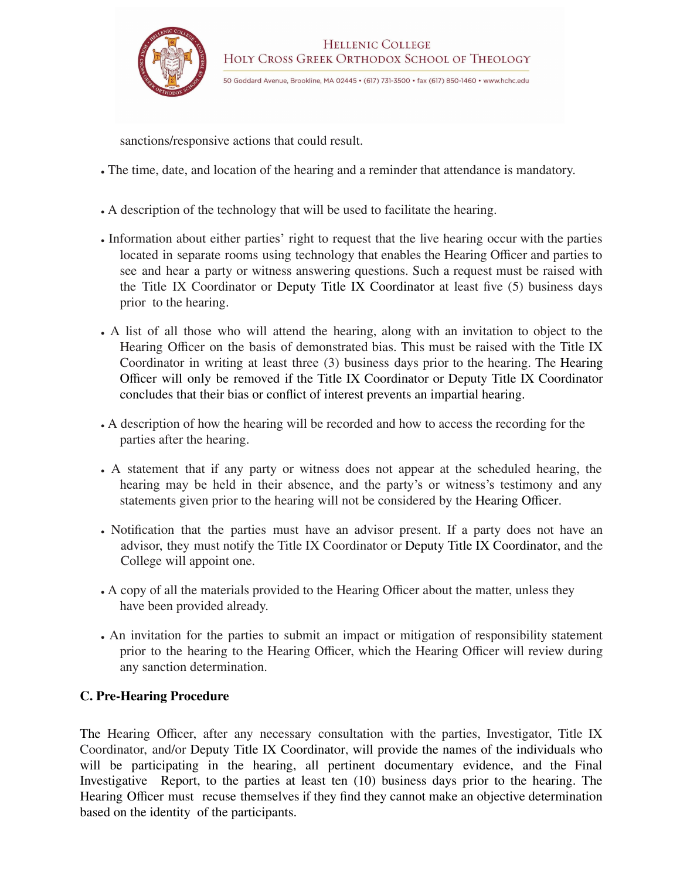

sanctions/responsive actions that could result.

- The time, date, and location of the hearing and a reminder that attendance is mandatory.
- A description of the technology that will be used to facilitate the hearing.
- Information about either parties' right to request that the live hearing occur with the parties located in separate rooms using technology that enables the Hearing Officer and parties to see and hear a party or witness answering questions. Such a request must be raised with the Title IX Coordinator or Deputy Title IX Coordinator at least five (5) business days prior to the hearing.
- A list of all those who will attend the hearing, along with an invitation to object to the Hearing Officer on the basis of demonstrated bias. This must be raised with the Title IX Coordinator in writing at least three (3) business days prior to the hearing. The Hearing Officer will only be removed if the Title IX Coordinator or Deputy Title IX Coordinator concludes that their bias or conflict of interest prevents an impartial hearing.
- A description of how the hearing will be recorded and how to access the recording for the parties after the hearing.
- A statement that if any party or witness does not appear at the scheduled hearing, the hearing may be held in their absence, and the party's or witness's testimony and any statements given prior to the hearing will not be considered by the Hearing Officer.
- Notification that the parties must have an advisor present. If a party does not have an advisor, they must notify the Title IX Coordinator or Deputy Title IX Coordinator, and the College will appoint one.
- A copy of all the materials provided to the Hearing Officer about the matter, unless they have been provided already.
- An invitation for the parties to submit an impact or mitigation of responsibility statement prior to the hearing to the Hearing Officer, which the Hearing Officer will review during any sanction determination.

## **C. Pre-Hearing Procedure**

The Hearing Officer, after any necessary consultation with the parties, Investigator, Title IX Coordinator, and/or Deputy Title IX Coordinator, will provide the names of the individuals who will be participating in the hearing, all pertinent documentary evidence, and the Final Investigative Report, to the parties at least ten (10) business days prior to the hearing. The Hearing Officer must recuse themselves if they find they cannot make an objective determination based on the identity of the participants.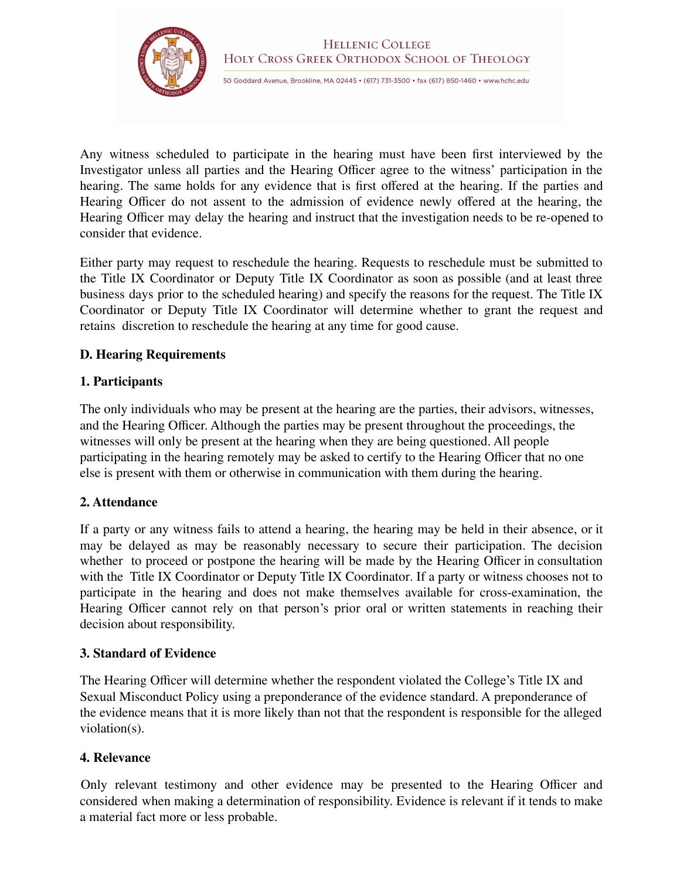

Any witness scheduled to participate in the hearing must have been first interviewed by the Investigator unless all parties and the Hearing Officer agree to the witness' participation in the hearing. The same holds for any evidence that is first offered at the hearing. If the parties and Hearing Officer do not assent to the admission of evidence newly offered at the hearing, the Hearing Officer may delay the hearing and instruct that the investigation needs to be re-opened to consider that evidence.

Either party may request to reschedule the hearing. Requests to reschedule must be submitted to the Title IX Coordinator or Deputy Title IX Coordinator as soon as possible (and at least three business days prior to the scheduled hearing) and specify the reasons for the request. The Title IX Coordinator or Deputy Title IX Coordinator will determine whether to grant the request and retains discretion to reschedule the hearing at any time for good cause.

## **D. Hearing Requirements**

## **1. Participants**

The only individuals who may be present at the hearing are the parties, their advisors, witnesses, and the Hearing Officer. Although the parties may be present throughout the proceedings, the witnesses will only be present at the hearing when they are being questioned. All people participating in the hearing remotely may be asked to certify to the Hearing Officer that no one else is present with them or otherwise in communication with them during the hearing.

## **2. Attendance**

If a party or any witness fails to attend a hearing, the hearing may be held in their absence, or it may be delayed as may be reasonably necessary to secure their participation. The decision whether to proceed or postpone the hearing will be made by the Hearing Officer in consultation with the Title IX Coordinator or Deputy Title IX Coordinator. If a party or witness chooses not to participate in the hearing and does not make themselves available for cross-examination, the Hearing Officer cannot rely on that person's prior oral or written statements in reaching their decision about responsibility.

## **3. Standard of Evidence**

The Hearing Officer will determine whether the respondent violated the College's Title IX and Sexual Misconduct Policy using a preponderance of the evidence standard. A preponderance of the evidence means that it is more likely than not that the respondent is responsible for the alleged violation(s).

## **4. Relevance**

Only relevant testimony and other evidence may be presented to the Hearing Officer and considered when making a determination of responsibility. Evidence is relevant if it tends to make a material fact more or less probable.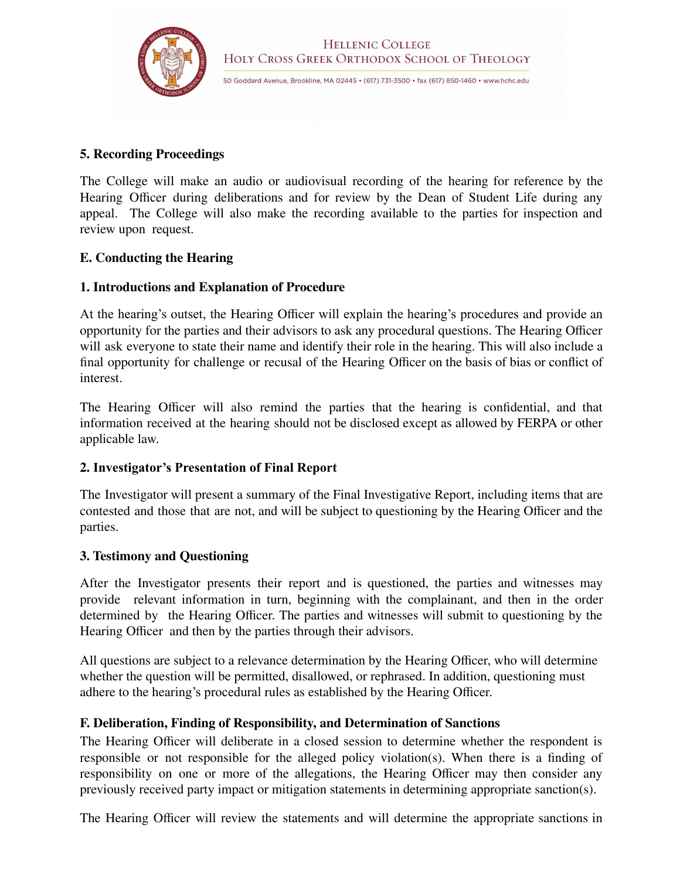

### **5. Recording Proceedings**

The College will make an audio or audiovisual recording of the hearing for reference by the Hearing Officer during deliberations and for review by the Dean of Student Life during any appeal. The College will also make the recording available to the parties for inspection and review upon request.

## **E. Conducting the Hearing**

#### **1. Introductions and Explanation of Procedure**

At the hearing's outset, the Hearing Officer will explain the hearing's procedures and provide an opportunity for the parties and their advisors to ask any procedural questions. The Hearing Officer will ask everyone to state their name and identify their role in the hearing. This will also include a final opportunity for challenge or recusal of the Hearing Officer on the basis of bias or conflict of interest.

The Hearing Officer will also remind the parties that the hearing is confidential, and that information received at the hearing should not be disclosed except as allowed by FERPA or other applicable law.

## **2. Investigator's Presentation of Final Report**

The Investigator will present a summary of the Final Investigative Report, including items that are contested and those that are not, and will be subject to questioning by the Hearing Officer and the parties.

#### **3. Testimony and Questioning**

After the Investigator presents their report and is questioned, the parties and witnesses may provide relevant information in turn, beginning with the complainant, and then in the order determined by the Hearing Officer. The parties and witnesses will submit to questioning by the Hearing Officer and then by the parties through their advisors.

All questions are subject to a relevance determination by the Hearing Officer, who will determine whether the question will be permitted, disallowed, or rephrased. In addition, questioning must adhere to the hearing's procedural rules as established by the Hearing Officer.

## **F. Deliberation, Finding of Responsibility, and Determination of Sanctions**

The Hearing Officer will deliberate in a closed session to determine whether the respondent is responsible or not responsible for the alleged policy violation(s). When there is a finding of responsibility on one or more of the allegations, the Hearing Officer may then consider any previously received party impact or mitigation statements in determining appropriate sanction(s).

The Hearing Officer will review the statements and will determine the appropriate sanctions in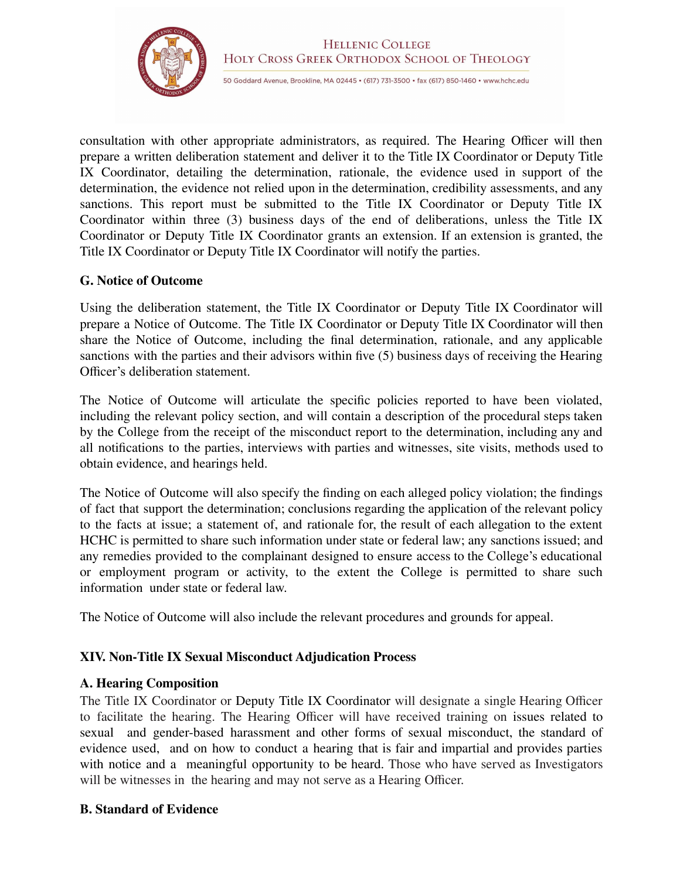

consultation with other appropriate administrators, as required. The Hearing Officer will then prepare a written deliberation statement and deliver it to the Title IX Coordinator or Deputy Title IX Coordinator, detailing the determination, rationale, the evidence used in support of the determination, the evidence not relied upon in the determination, credibility assessments, and any sanctions. This report must be submitted to the Title IX Coordinator or Deputy Title IX Coordinator within three (3) business days of the end of deliberations, unless the Title IX Coordinator or Deputy Title IX Coordinator grants an extension. If an extension is granted, the Title IX Coordinator or Deputy Title IX Coordinator will notify the parties.

#### **G. Notice of Outcome**

Using the deliberation statement, the Title IX Coordinator or Deputy Title IX Coordinator will prepare a Notice of Outcome. The Title IX Coordinator or Deputy Title IX Coordinator will then share the Notice of Outcome, including the final determination, rationale, and any applicable sanctions with the parties and their advisors within five (5) business days of receiving the Hearing Officer's deliberation statement.

The Notice of Outcome will articulate the specific policies reported to have been violated, including the relevant policy section, and will contain a description of the procedural steps taken by the College from the receipt of the misconduct report to the determination, including any and all notifications to the parties, interviews with parties and witnesses, site visits, methods used to obtain evidence, and hearings held.

The Notice of Outcome will also specify the finding on each alleged policy violation; the findings of fact that support the determination; conclusions regarding the application of the relevant policy to the facts at issue; a statement of, and rationale for, the result of each allegation to the extent HCHC is permitted to share such information under state or federal law; any sanctions issued; and any remedies provided to the complainant designed to ensure access to the College's educational or employment program or activity, to the extent the College is permitted to share such information under state or federal law.

The Notice of Outcome will also include the relevant procedures and grounds for appeal.

## **XIV. Non-Title IX Sexual Misconduct Adjudication Process**

## **A. Hearing Composition**

The Title IX Coordinator or Deputy Title IX Coordinator will designate a single Hearing Officer to facilitate the hearing. The Hearing Officer will have received training on issues related to sexual and gender-based harassment and other forms of sexual misconduct, the standard of evidence used, and on how to conduct a hearing that is fair and impartial and provides parties with notice and a meaningful opportunity to be heard. Those who have served as Investigators will be witnesses in the hearing and may not serve as a Hearing Officer.

## **B. Standard of Evidence**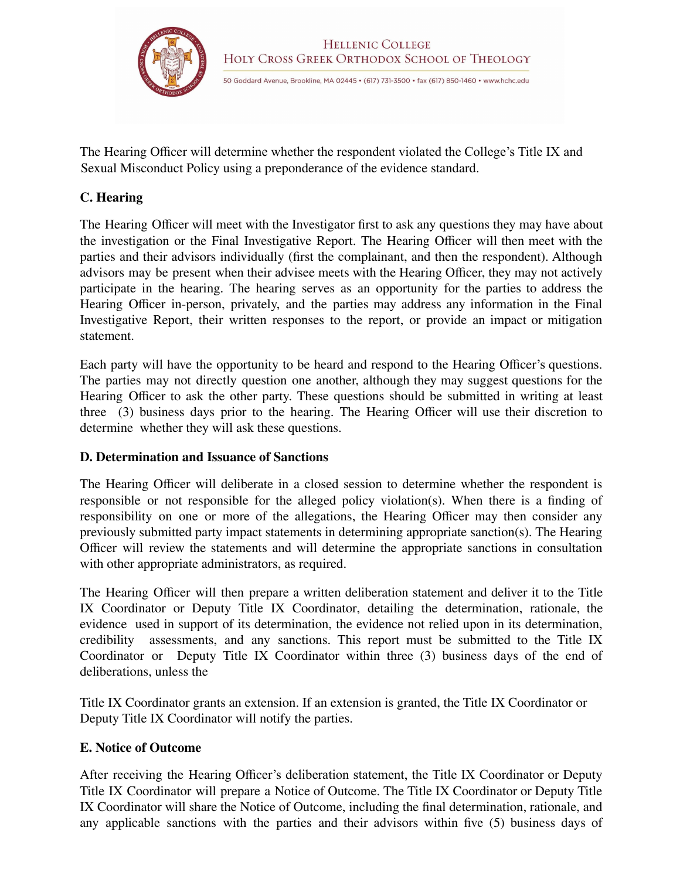

The Hearing Officer will determine whether the respondent violated the College's Title IX and Sexual Misconduct Policy using a preponderance of the evidence standard.

#### **C. Hearing**

The Hearing Officer will meet with the Investigator first to ask any questions they may have about the investigation or the Final Investigative Report. The Hearing Officer will then meet with the parties and their advisors individually (first the complainant, and then the respondent). Although advisors may be present when their advisee meets with the Hearing Officer, they may not actively participate in the hearing. The hearing serves as an opportunity for the parties to address the Hearing Officer in-person, privately, and the parties may address any information in the Final Investigative Report, their written responses to the report, or provide an impact or mitigation statement.

Each party will have the opportunity to be heard and respond to the Hearing Officer's questions. The parties may not directly question one another, although they may suggest questions for the Hearing Officer to ask the other party. These questions should be submitted in writing at least three (3) business days prior to the hearing. The Hearing Officer will use their discretion to determine whether they will ask these questions.

#### **D. Determination and Issuance of Sanctions**

The Hearing Officer will deliberate in a closed session to determine whether the respondent is responsible or not responsible for the alleged policy violation(s). When there is a finding of responsibility on one or more of the allegations, the Hearing Officer may then consider any previously submitted party impact statements in determining appropriate sanction(s). The Hearing Officer will review the statements and will determine the appropriate sanctions in consultation with other appropriate administrators, as required.

The Hearing Officer will then prepare a written deliberation statement and deliver it to the Title IX Coordinator or Deputy Title IX Coordinator, detailing the determination, rationale, the evidence used in support of its determination, the evidence not relied upon in its determination, credibility assessments, and any sanctions. This report must be submitted to the Title IX Coordinator or Deputy Title IX Coordinator within three (3) business days of the end of deliberations, unless the

Title IX Coordinator grants an extension. If an extension is granted, the Title IX Coordinator or Deputy Title IX Coordinator will notify the parties.

#### **E. Notice of Outcome**

After receiving the Hearing Officer's deliberation statement, the Title IX Coordinator or Deputy Title IX Coordinator will prepare a Notice of Outcome. The Title IX Coordinator or Deputy Title IX Coordinator will share the Notice of Outcome, including the final determination, rationale, and any applicable sanctions with the parties and their advisors within five (5) business days of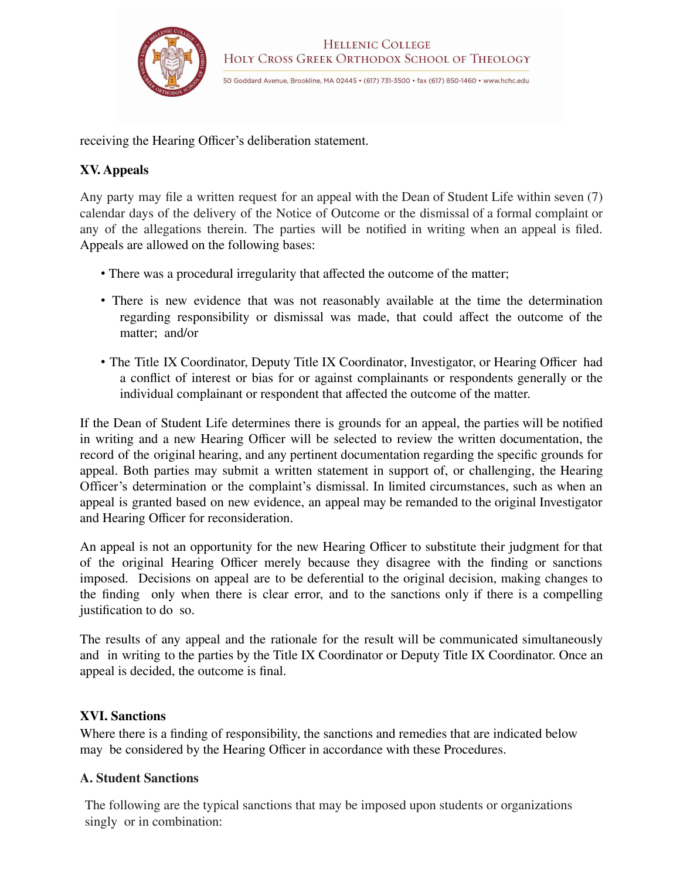

receiving the Hearing Officer's deliberation statement.

## **XV. Appeals**

Any party may file a written request for an appeal with the Dean of Student Life within seven (7) calendar days of the delivery of the Notice of Outcome or the dismissal of a formal complaint or any of the allegations therein. The parties will be notified in writing when an appeal is filed. Appeals are allowed on the following bases:

- There was a procedural irregularity that affected the outcome of the matter;
- There is new evidence that was not reasonably available at the time the determination regarding responsibility or dismissal was made, that could affect the outcome of the matter; and/or
- The Title IX Coordinator, Deputy Title IX Coordinator, Investigator, or Hearing Officer had a conflict of interest or bias for or against complainants or respondents generally or the individual complainant or respondent that affected the outcome of the matter.

If the Dean of Student Life determines there is grounds for an appeal, the parties will be notified in writing and a new Hearing Officer will be selected to review the written documentation, the record of the original hearing, and any pertinent documentation regarding the specific grounds for appeal. Both parties may submit a written statement in support of, or challenging, the Hearing Officer's determination or the complaint's dismissal. In limited circumstances, such as when an appeal is granted based on new evidence, an appeal may be remanded to the original Investigator and Hearing Officer for reconsideration.

An appeal is not an opportunity for the new Hearing Officer to substitute their judgment for that of the original Hearing Officer merely because they disagree with the finding or sanctions imposed. Decisions on appeal are to be deferential to the original decision, making changes to the finding only when there is clear error, and to the sanctions only if there is a compelling justification to do so.

The results of any appeal and the rationale for the result will be communicated simultaneously and in writing to the parties by the Title IX Coordinator or Deputy Title IX Coordinator. Once an appeal is decided, the outcome is final.

## **XVI. Sanctions**

Where there is a finding of responsibility, the sanctions and remedies that are indicated below may be considered by the Hearing Officer in accordance with these Procedures.

## **A. Student Sanctions**

The following are the typical sanctions that may be imposed upon students or organizations singly or in combination: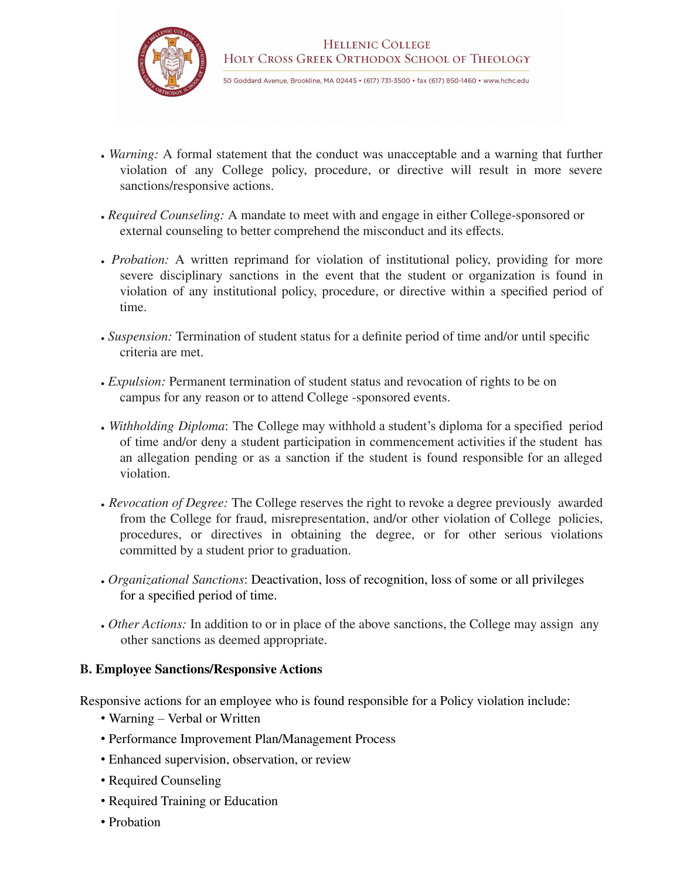

- *Warning:* A formal statement that the conduct was unacceptable and a warning that further violation of any College policy, procedure, or directive will result in more severe sanctions/responsive actions.
- *Required Counseling:* A mandate to meet with and engage in either College-sponsored or external counseling to better comprehend the misconduct and its effects.
- *Probation:* A written reprimand for violation of institutional policy, providing for more severe disciplinary sanctions in the event that the student or organization is found in violation of any institutional policy, procedure, or directive within a specified period of time.
- *Suspension:* Termination of student status for a definite period of time and/or until specific criteria are met.
- *Expulsion:* Permanent termination of student status and revocation of rights to be on campus for any reason or to attend College -sponsored events.
- *Withholding Diploma*: The College may withhold a student's diploma for a specified period of time and/or deny a student participation in commencement activities if the student has an allegation pending or as a sanction if the student is found responsible for an alleged violation.
- *Revocation of Degree:* The College reserves the right to revoke a degree previously awarded from the College for fraud, misrepresentation, and/or other violation of College policies, procedures, or directives in obtaining the degree, or for other serious violations committed by a student prior to graduation.
- *Organizational Sanctions*: Deactivation, loss of recognition, loss of some or all privileges for a specified period of time.
- *Other Actions:* In addition to or in place of the above sanctions, the College may assign any other sanctions as deemed appropriate.

#### **B. Employee Sanctions/Responsive Actions**

Responsive actions for an employee who is found responsible for a Policy violation include:

- Warning Verbal or Written
- Performance Improvement Plan/Management Process
- Enhanced supervision, observation, or review
- Required Counseling
- Required Training or Education
- Probation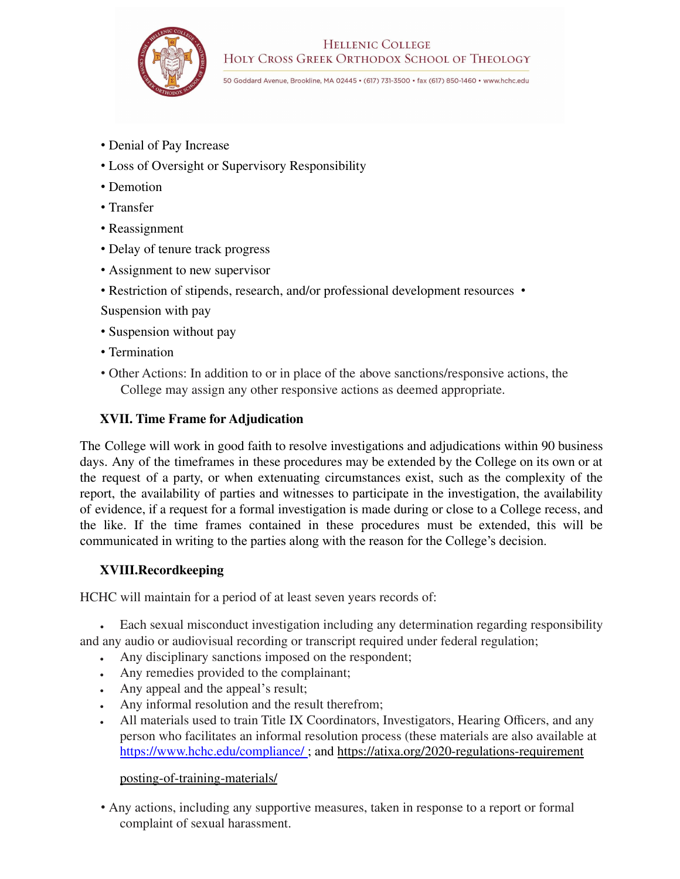

#### **HELLENIC COLLEGE** HOLY CROSS GREEK ORTHODOX SCHOOL OF THEOLOGY

50 Goddard Avenue, Brookline, MA 02445 • (617) 731-3500 • fax (617) 850-1460 • www.hchc.edu

- Denial of Pay Increase
- Loss of Oversight or Supervisory Responsibility
- Demotion
- Transfer
- Reassignment
- Delay of tenure track progress
- Assignment to new supervisor
- Restriction of stipends, research, and/or professional development resources •
- Suspension with pay
- Suspension without pay
- Termination
- Other Actions: In addition to or in place of the above sanctions/responsive actions, the College may assign any other responsive actions as deemed appropriate.

## **XVII. Time Frame for Adjudication**

The College will work in good faith to resolve investigations and adjudications within 90 business days. Any of the timeframes in these procedures may be extended by the College on its own or at the request of a party, or when extenuating circumstances exist, such as the complexity of the report, the availability of parties and witnesses to participate in the investigation, the availability of evidence, if a request for a formal investigation is made during or close to a College recess, and the like. If the time frames contained in these procedures must be extended, this will be communicated in writing to the parties along with the reason for the College's decision.

## **XVIII.Recordkeeping**

HCHC will maintain for a period of at least seven years records of:

• Each sexual misconduct investigation including any determination regarding responsibility and any audio or audiovisual recording or transcript required under federal regulation;

- Any disciplinary sanctions imposed on the respondent;
- Any remedies provided to the complainant;
- Any appeal and the appeal's result;
- Any informal resolution and the result therefrom;
- All materials used to train Title IX Coordinators, Investigators, Hearing Officers, and any person who facilitates an informal resolution process (these materials are also available at https://www.hchc.edu/compliance/ ; and https://atixa.org/2020-regulations-requirement

#### posting-of-training-materials/

• Any actions, including any supportive measures, taken in response to a report or formal complaint of sexual harassment.